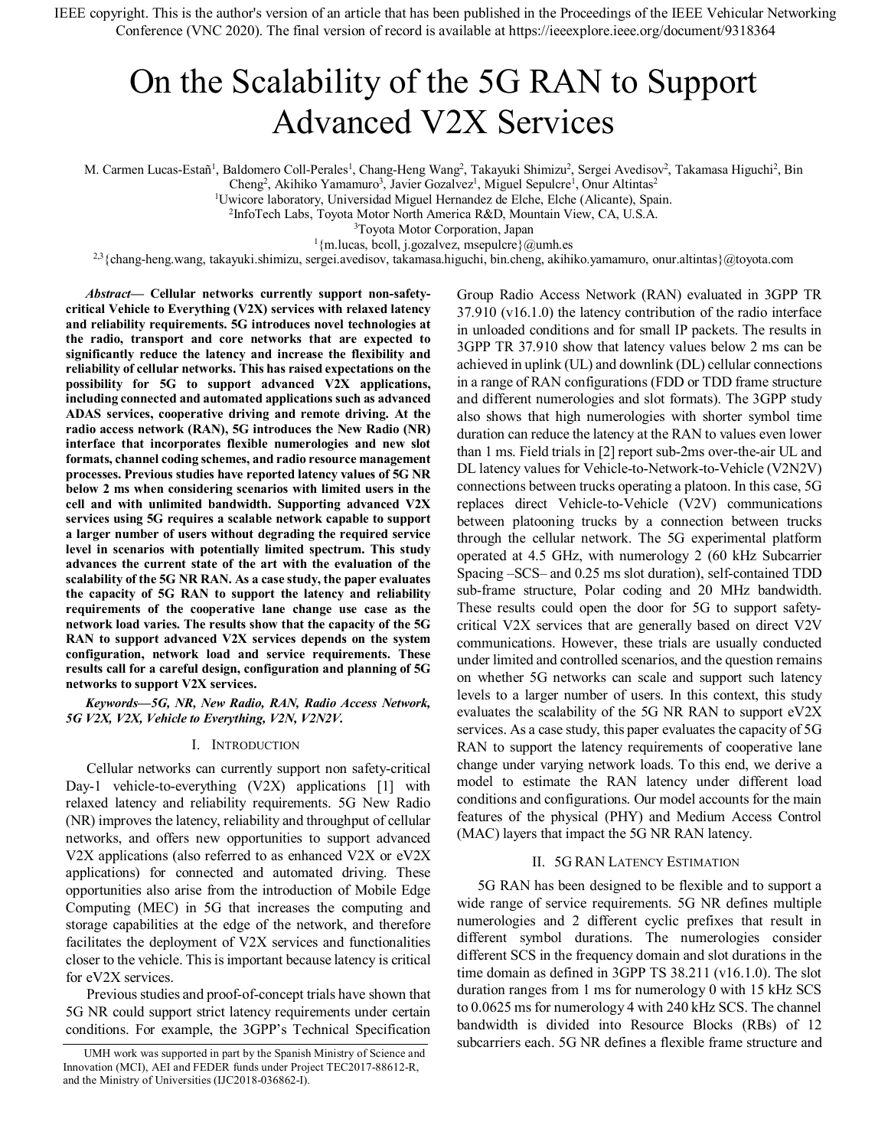IEEE copyright. This is the author's version of an article that has been published in the Proceedings of the IEEE Vehicular Networking Conference (VNC 2020). The final version of record is available at https://ieeexplore.ieee.org/document/9318364

# On the Scalability of the 5G RAN to Support Advanced V2X Services

M. Carmen Lucas-Estañ<sup>1</sup>, Baldomero Coll-Perales<sup>1</sup>, Chang-Heng Wang<sup>2</sup>, Takayuki Shimizu<sup>2</sup>, Sergei Avedisov<sup>2</sup>, Takamasa Higuchi<sup>2</sup>, Bin

Cheng<sup>2</sup>, Akihiko Yamamuro<sup>3</sup>, Javier Gozalvez<sup>1</sup>, Miguel Sepulcre<sup>1</sup>, Onur Altintas<sup>2</sup>

<sup>1</sup>Uwicore laboratory, Universidad Miguel Hernandez de Elche, Elche (Alicante), Spain.

<sup>2</sup>InfoTech Labs, Toyota Motor North America R&D, Mountain View, CA, U.S.A.

3 Toyota Motor Corporation, Japan

 $1$ {m.lucas, bcoll, j.gozalvez, msepulcre}@umh.es

2,3{chang-heng.wang, takayuki.shimizu, sergei.avedisov, takamasa.higuchi, bin.cheng, akihiko.yamamuro, onur.altintas}@toyota.com

*Abstract***— Cellular networks currently support non-safetycritical Vehicle to Everything (V2X) services with relaxed latency and reliability requirements. 5G introduces novel technologies at the radio, transport and core networks that are expected to significantly reduce the latency and increase the flexibility and reliability of cellular networks. This has raised expectations on the possibility for 5G to support advanced V2X applications, including connected and automated applications such as advanced ADAS services, cooperative driving and remote driving. At the radio access network (RAN), 5G introduces the New Radio (NR) interface that incorporates flexible numerologies and new slot formats, channel coding schemes, and radio resource management processes. Previous studies have reported latency values of 5G NR below 2 ms when considering scenarios with limited users in the cell and with unlimited bandwidth. Supporting advanced V2X services using 5G requires a scalable network capable to support a larger number of users without degrading the required service level in scenarios with potentially limited spectrum. This study advances the current state of the art with the evaluation of the scalability of the 5G NR RAN. As a case study, the paper evaluates the capacity of 5G RAN to support the latency and reliability requirements of the cooperative lane change use case as the network load varies. The results show that the capacity of the 5G RAN to support advanced V2X services depends on the system configuration, network load and service requirements. These results call for a careful design, configuration and planning of 5G networks to support V2X services.**

*Keywords—5G, NR, New Radio, RAN, Radio Access Network, 5G V2X, V2X, Vehicle to Everything, V2N, V2N2V.*

#### I. INTRODUCTION

Cellular networks can currently support non safety-critical Day-1 vehicle-to-everything (V2X) applications [1] with relaxed latency and reliability requirements. 5G New Radio (NR) improves the latency, reliability and throughput of cellular networks, and offers new opportunities to support advanced V2X applications (also referred to as enhanced V2X or eV2X applications) for connected and automated driving. These opportunities also arise from the introduction of Mobile Edge Computing (MEC) in 5G that increases the computing and storage capabilities at the edge of the network, and therefore facilitates the deployment of V2X services and functionalities closer to the vehicle. This is important because latency is critical for eV2X services.

Previous studies and proof-of-concept trials have shown that 5G NR could support strict latency requirements under certain conditions. For example, the 3GPP's Technical Specification Group Radio Access Network (RAN) evaluated in 3GPP TR 37.910 (v16.1.0) the latency contribution of the radio interface in unloaded conditions and for small IP packets. The results in 3GPP TR 37.910 show that latency values below 2 ms can be achieved in uplink (UL) and downlink (DL) cellular connections in a range of RAN configurations (FDD or TDD frame structure and different numerologies and slot formats). The 3GPP study also shows that high numerologies with shorter symbol time duration can reduce the latency at the RAN to values even lower than 1 ms. Field trials in [2] report sub-2ms over-the-air UL and DL latency values for Vehicle-to-Network-to-Vehicle (V2N2V) connections between trucks operating a platoon. In this case, 5G replaces direct Vehicle-to-Vehicle (V2V) communications between platooning trucks by a connection between trucks through the cellular network. The 5G experimental platform operated at 4.5 GHz, with numerology 2 (60 kHz Subcarrier Spacing –SCS– and 0.25 ms slot duration), self-contained TDD sub-frame structure, Polar coding and 20 MHz bandwidth. These results could open the door for 5G to support safetycritical V2X services that are generally based on direct V2V communications. However, these trials are usually conducted under limited and controlled scenarios, and the question remains on whether 5G networks can scale and support such latency levels to a larger number of users. In this context, this study evaluates the scalability of the 5G NR RAN to support eV2X services. As a case study, this paper evaluates the capacity of 5G RAN to support the latency requirements of cooperative lane change under varying network loads. To this end, we derive a model to estimate the RAN latency under different load conditions and configurations. Our model accounts for the main features of the physical (PHY) and Medium Access Control (MAC) layers that impact the 5G NR RAN latency.

## II. 5G RAN LATENCY ESTIMATION

5G RAN has been designed to be flexible and to support a wide range of service requirements. 5G NR defines multiple numerologies and 2 different cyclic prefixes that result in different symbol durations. The numerologies consider different SCS in the frequency domain and slot durations in the time domain as defined in 3GPP TS 38.211 (v16.1.0). The slot duration ranges from 1 ms for numerology 0 with 15 kHz SCS to 0.0625 ms for numerology 4 with 240 kHz SCS. The channel bandwidth is divided into Resource Blocks (RBs) of 12 subcarriers each. 5G NR defines a flexible frame structure and

UMH work was supported in part by the Spanish Ministry of Science and Innovation (MCI), AEI and FEDER funds under Project TEC2017-88612-R, and the Ministry of Universities (IJC2018-036862-I).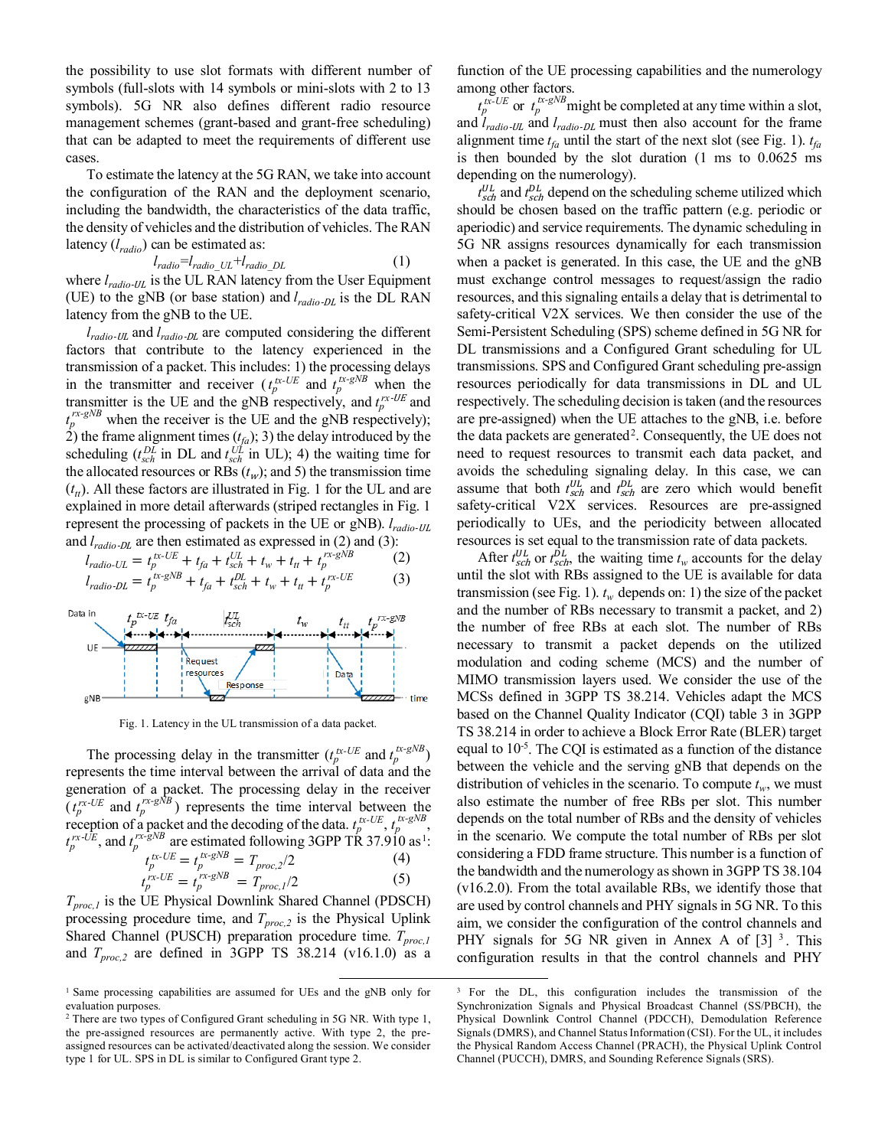the possibility to use slot formats with different number of symbols (full-slots with 14 symbols or mini-slots with 2 to 13 symbols). 5G NR also defines different radio resource management schemes (grant-based and grant-free scheduling) that can be adapted to meet the requirements of different use cases.

To estimate the latency at the 5G RAN, we take into account the configuration of the RAN and the deployment scenario, including the bandwidth, the characteristics of the data traffic, the density of vehicles and the distribution of vehicles. The RAN latency (*lradio*) can be estimated as:

$$
l_{radio} = l_{radio\_UL} + l_{radio\_DL} \tag{1}
$$

where  $l_{radio-UL}$  is the UL RAN latency from the User Equipment (UE) to the gNB (or base station) and  $l_{radio-DL}$  is the DL RAN latency from the gNB to the UE.

*lradio*-UL and *lradio*-DL are computed considering the different factors that contribute to the latency experienced in the transmission of a packet. This includes: 1) the processing delays in the transmitter and receiver  $(t_p^{tx-UE})$  and  $t_p^{tx-gNB}$  when the transmitter is the UE and the gNB respectively, and  $t_p^{rx-UE}$  and  $t_p^{rx-gNB}$  when the receiver is the UE and the gNB respectively); 2) the frame alignment times  $(t_{fa})$ ; 3) the delay introduced by the scheduling  $(t_{sch}^{DL}$  in DL and  $t_{sch}^{UL}$  in UL); 4) the waiting time for the allocated resources or RBs  $(t_w)$ ; and 5) the transmission time  $(t<sub>tt</sub>)$ . All these factors are illustrated in Fig. 1 for the UL and are explained in more detail afterwards (striped rectangles in Fig. 1 represent the processing of packets in the UE or gNB). *lradio*-UL and  $l_{radio-DL}$  are then estimated as expressed in [\(2\)](#page-1-0) and [\(3\):](#page-1-1)

$$
l_{radio-UL} = t_{p}^{tx-UE} + t_{fa} + t_{sch}^{UL} + t_w + t_{ft} + t_{p}^{rx-gNB}
$$
 (2)

$$
l_{radio\text{-}DL} = t_p^{tx\text{-}gNB} + t_{fa} + t_{Sch}^{DL} + t_w + t_{tt} + t_p^{rx\text{-}UE} \tag{3}
$$



Fig. 1. Latency in the UL transmission of a data packet.

<span id="page-1-2"></span>The processing delay in the transmitter  $(t_p^{tx-UE}$  and  $t_p^{tx-gNB})$ represents the time interval between the arrival of data and the generation of a packet. The processing delay in the receiver  $(t_p^{rx\text{-}UE}$  and  $t_p^{rx\text{-}gNB}$ ) represents the time interval between the reception of a packet and the decoding of the data.  $t_p^{tx-UE}$ ,  $t_p^{tx-gNB}$ ,  $t_p^{rx-\hat{UE}}$ , and  $t_p^{rx-\hat{B}NB}$  are estimated following 3GPP TR 37.9[1](#page-1-3)0 as<sup>1</sup>:  $t_p^{tx-UE} = t_p^{tx-gNB} = T_{proc,2}/2$  (4)  $t_p^{rx-UE} = t_p^{rx-gNB} = T_{proc,1}/2$  (5)

 $T_{proc,1}$  is the UE Physical Downlink Shared Channel (PDSCH) processing procedure time, and  $T_{proc,2}$  is the Physical Uplink Shared Channel (PUSCH) preparation procedure time.  $T_{proc,1}$ and  $T_{proc,2}$  are defined in 3GPP TS 38.214 (v16.1.0) as a function of the UE processing capabilities and the numerology among other factors.

 $t_p^{tx-UE}$  or  $t_p^{tx-gNB}$  might be completed at any time within a slot, and *lradio*-UL and *lradio*-DL must then also account for the frame alignment time  $t_{fa}$  until the start of the next slot (see Fig. 1).  $t_{fa}$ is then bounded by the slot duration (1 ms to 0.0625 ms depending on the numerology).

 $t_{sch}^{UL}$  and  $t_{sch}^{DL}$  depend on the scheduling scheme utilized which should be chosen based on the traffic pattern (e.g. periodic or aperiodic) and service requirements. The dynamic scheduling in 5G NR assigns resources dynamically for each transmission when a packet is generated. In this case, the UE and the gNB must exchange control messages to request/assign the radio resources, and this signaling entails a delay that is detrimental to safety-critical V2X services. We then consider the use of the Semi-Persistent Scheduling (SPS) scheme defined in 5G NR for DL transmissions and a Configured Grant scheduling for UL transmissions. SPS and Configured Grant scheduling pre-assign resources periodically for data transmissions in DL and UL respectively. The scheduling decision is taken (and the resources are pre-assigned) when the UE attaches to the gNB, i.e. before the data packets are generated<sup>[2](#page-1-4)</sup>. Consequently, the UE does not need to request resources to transmit each data packet, and avoids the scheduling signaling delay. In this case, we can assume that both  $t_{sch}^{UL}$  and  $t_{sch}^{DL}$  are zero which would benefit safety-critical V2X services. Resources are pre-assigned periodically to UEs, and the periodicity between allocated resources is set equal to the transmission rate of data packets.

<span id="page-1-1"></span><span id="page-1-0"></span>After  $t_{\text{sch}}^{UL}$  or  $t_{\text{sch}}^{DL}$ , the waiting time  $t_w$  accounts for the delay until the slot with RBs assigned to the UE is available for data transmission (se[e Fig. 1\)](#page-1-2).  $t_w$  depends on: 1) the size of the packet and the number of RBs necessary to transmit a packet, and 2) the number of free RBs at each slot. The number of RBs necessary to transmit a packet depends on the utilized modulation and coding scheme (MCS) and the number of MIMO transmission layers used. We consider the use of the MCSs defined in 3GPP TS 38.214. Vehicles adapt the MCS based on the Channel Quality Indicator (CQI) table 3 in 3GPP TS 38.214 in order to achieve a Block Error Rate (BLER) target equal to 10<sup>-5</sup>. The CQI is estimated as a function of the distance between the vehicle and the serving gNB that depends on the distribution of vehicles in the scenario. To compute  $t_w$ , we must also estimate the number of free RBs per slot. This number depends on the total number of RBs and the density of vehicles in the scenario. We compute the total number of RBs per slot considering a FDD frame structure. This number is a function of the bandwidth and the numerology as shown in 3GPP TS 38.104 (v16.2.0). From the total available RBs, we identify those that are used by control channels and PHY signals in 5G NR. To this aim, we consider the configuration of the control channels and PHY signals for 5G NR given in Annex A of  $[3]$  $[3]$  $[3]$ <sup>3</sup>. This configuration results in that the control channels and PHY

<span id="page-1-3"></span> <sup>1</sup> Same processing capabilities are assumed for UEs and the gNB only for evaluation purposes.

<span id="page-1-4"></span><sup>&</sup>lt;sup>2</sup> There are two types of Configured Grant scheduling in 5G NR. With type 1, the pre-assigned resources are permanently active. With type 2, the preassigned resources can be activated/deactivated along the session. We consider type 1 for UL. SPS in DL is similar to Configured Grant type 2.

<sup>&</sup>lt;sup>3</sup> For the DL, this configuration includes the transmission of the Synchronization Signals and Physical Broadcast Channel (SS/PBCH), the Physical Downlink Control Channel (PDCCH), Demodulation Reference Signals (DMRS), and Channel Status Information (CSI). For the UL, it includes the Physical Random Access Channel (PRACH), the Physical Uplink Control Channel (PUCCH), DMRS, and Sounding Reference Signals (SRS).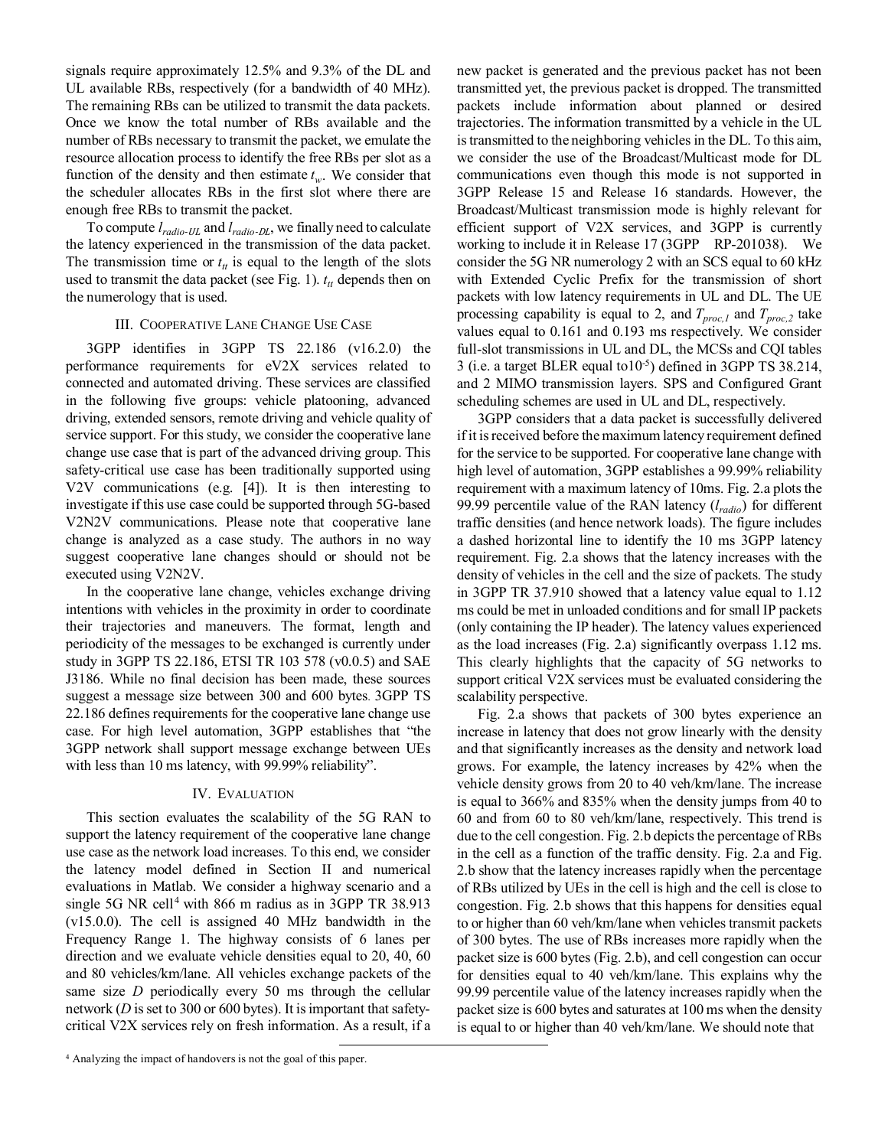signals require approximately 12.5% and 9.3% of the DL and UL available RBs, respectively (for a bandwidth of 40 MHz). The remaining RBs can be utilized to transmit the data packets. Once we know the total number of RBs available and the number of RBs necessary to transmit the packet, we emulate the resource allocation process to identify the free RBs per slot as a function of the density and then estimate  $t_w$ . We consider that the scheduler allocates RBs in the first slot where there are enough free RBs to transmit the packet.

To compute  $l_{radio-III}$  and  $l_{radio-DI}$ , we finally need to calculate the latency experienced in the transmission of the data packet. The transmission time or  $t<sub>tt</sub>$  is equal to the length of the slots used to transmit the data packet (see Fig. 1).  $t<sub>tt</sub>$  depends then on the numerology that is used.

## III. COOPERATIVE LANE CHANGE USE CASE

<span id="page-2-1"></span>3GPP identifies in 3GPP TS 22.186 (v16.2.0) the performance requirements for eV2X services related to connected and automated driving. These services are classified in the following five groups: vehicle platooning, advanced driving, extended sensors, remote driving and vehicle quality of service support. For this study, we consider the cooperative lane change use case that is part of the advanced driving group. This safety-critical use case has been traditionally supported using V2V communications (e.g. [\[4\]\)](#page-3-0). It is then interesting to investigate if this use case could be supported through 5G-based V2N2V communications. Please note that cooperative lane change is analyzed as a case study. The authors in no way suggest cooperative lane changes should or should not be executed using V2N2V.

In the cooperative lane change, vehicles exchange driving intentions with vehicles in the proximity in order to coordinate their trajectories and maneuvers. The format, length and periodicity of the messages to be exchanged is currently under study in 3GPP TS 22.186, ETSI TR 103 578 (v0.0.5) and SAE J3186. While no final decision has been made, these sources suggest a message size between 300 and 600 bytes. 3GPP TS 22.186 defines requirements for the cooperative lane change use case. For high level automation, 3GPP establishes that "the 3GPP network shall support message exchange between UEs with less than 10 ms latency, with 99.99% reliability".

## IV. EVALUATION

<span id="page-2-0"></span>This section evaluates the scalability of the 5G RAN to support the latency requirement of the cooperative lane change use case as the network load increases. To this end, we consider the latency model defined in Section II and numerical evaluations in Matlab. We consider a highway scenario and a single 5G NR cell<sup>[4](#page-2-0)</sup> with 866 m radius as in 3GPP TR 38.913 (v15.0.0). The cell is assigned 40 MHz bandwidth in the Frequency Range 1. The highway consists of 6 lanes per direction and we evaluate vehicle densities equal to 20, 40, 60 and 80 vehicles/km/lane. All vehicles exchange packets of the same size *D* periodically every 50 ms through the cellular network (*D* isset to 300 or 600 bytes). It is important that safetycritical V2X services rely on fresh information. As a result, if a new packet is generated and the previous packet has not been transmitted yet, the previous packet is dropped. The transmitted packets include information about planned or desired trajectories. The information transmitted by a vehicle in the UL is transmitted to the neighboring vehicles in the DL. To this aim, we consider the use of the Broadcast/Multicast mode for DL communications even though this mode is not supported in 3GPP Release 15 and Release 16 standards. However, the Broadcast/Multicast transmission mode is highly relevant for efficient support of V2X services, and 3GPP is currently working to include it in Release 17 (3GPP RP-201038). We consider the 5G NR numerology 2 with an SCS equal to 60 kHz with Extended Cyclic Prefix for the transmission of short packets with low latency requirements in UL and DL. The UE processing capability is equal to 2, and  $T_{proc,1}$  and  $T_{proc,2}$  take values equal to 0.161 and 0.193 ms respectively. We consider full-slot transmissions in UL and DL, the MCSs and CQI tables 3 (i.e. a target BLER equal to  $10^{-5}$ ) defined in 3GPP TS 38.214, and 2 MIMO transmission layers. SPS and Configured Grant scheduling schemes are used in UL and DL, respectively.

3GPP considers that a data packet is successfully delivered if it is received before the maximum latency requirement defined for the service to be supported. For cooperative lane change with high level of automation, 3GPP establishes a 99.99% reliability requirement with a maximum latency of 10ms. Fig. 2.a plots the 99.99 percentile value of the RAN latency (*lradio*) for different traffic densities (and hence network loads). The figure includes a dashed horizontal line to identify the 10 ms 3GPP latency requirement. Fig. 2.a shows that the latency increases with the density of vehicles in the cell and the size of packets. The study in 3GPP TR 37.910 showed that a latency value equal to 1.12 ms could be met in unloaded conditions and for small IP packets (only containing the IP header). The latency values experienced as the load increases (Fig. 2.a) significantly overpass 1.12 ms. This clearly highlights that the capacity of 5G networks to support critical V2X services must be evaluated considering the scalability perspective.

Fig. 2.a shows that packets of 300 bytes experience an increase in latency that does not grow linearly with the density and that significantly increases as the density and network load grows. For example, the latency increases by 42% when the vehicle density grows from 20 to 40 veh/km/lane. The increase is equal to 366% and 835% when the density jumps from 40 to 60 and from 60 to 80 veh/km/lane, respectively. This trend is due to the cell congestion. Fig. 2.b depicts the percentage of RBs in the cell as a function of the traffic density. Fig. 2.a and Fig. 2.b show that the latency increases rapidly when the percentage of RBs utilized by UEs in the cell is high and the cell is close to congestion. Fig. 2.b shows that this happens for densities equal to or higher than 60 veh/km/lane when vehicles transmit packets of 300 bytes. The use of RBs increases more rapidly when the packet size is 600 bytes (Fig. 2.b), and cell congestion can occur for densities equal to 40 veh/km/lane. This explains why the 99.99 percentile value of the latency increases rapidly when the packet size is 600 bytes and saturates at 100 ms when the density is equal to or higher than 40 veh/km/lane. We should note that